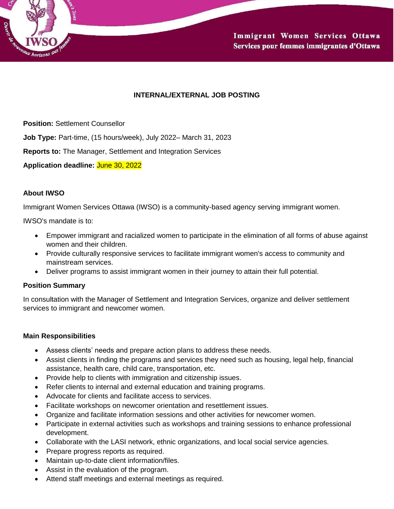

# **INTERNAL/EXTERNAL JOB POSTING**

**Position:** Settlement Counsellor

**Job Type:** Part-time, (15 hours/week), July 2022– March 31, 2023

**Reports to:** The Manager, Settlement and Integration Services

**Application deadline:** June 30, 2022

# **About IWSO**

Immigrant Women Services Ottawa (IWSO) is a community-based agency serving immigrant women.

IWSO's mandate is to:

- Empower immigrant and racialized women to participate in the elimination of all forms of abuse against women and their children.
- Provide culturally responsive services to facilitate immigrant women's access to community and mainstream services.
- Deliver programs to assist immigrant women in their journey to attain their full potential.

## **Position Summary**

In consultation with the Manager of Settlement and Integration Services, organize and deliver settlement services to immigrant and newcomer women.

## **Main Responsibilities**

- Assess clients' needs and prepare action plans to address these needs.
- Assist clients in finding the programs and services they need such as housing, legal help, financial assistance, health care, child care, transportation, etc.
- Provide help to clients with immigration and citizenship issues.
- Refer clients to internal and external education and training programs.
- Advocate for clients and facilitate access to services.
- Facilitate workshops on newcomer orientation and resettlement issues.
- Organize and facilitate information sessions and other activities for newcomer women.
- Participate in external activities such as workshops and training sessions to enhance professional development.
- Collaborate with the LASI network, ethnic organizations, and local social service agencies.
- Prepare progress reports as required.
- Maintain up-to-date client information/files.
- Assist in the evaluation of the program.
- Attend staff meetings and external meetings as required.